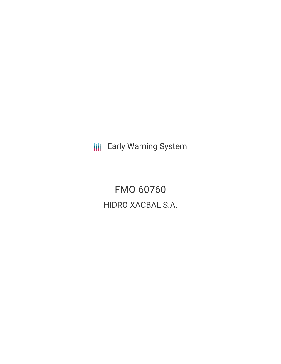**III** Early Warning System

FMO-60760 HIDRO XACBAL S.A.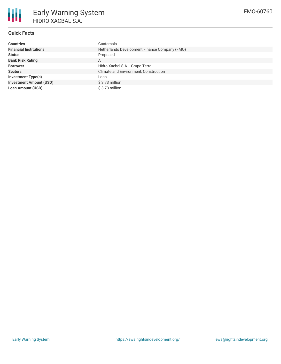

# **Quick Facts**

| <b>Countries</b>               | Guatemala                                     |
|--------------------------------|-----------------------------------------------|
| <b>Financial Institutions</b>  | Netherlands Development Finance Company (FMO) |
| <b>Status</b>                  | Proposed                                      |
| <b>Bank Risk Rating</b>        | A                                             |
| <b>Borrower</b>                | Hidro Xacbal S.A. - Grupo Terra               |
| <b>Sectors</b>                 | Climate and Environment, Construction         |
| Investment Type(s)             | Loan                                          |
| <b>Investment Amount (USD)</b> | \$3.73 million                                |
| <b>Loan Amount (USD)</b>       | \$3.73 million                                |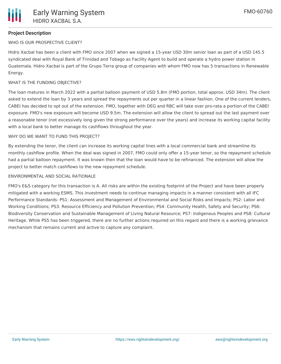## **Project Description**

## WHO IS OUR PROSPECTIVE CLIENT?

Hidro Xacbal has been a client with FMO since 2007 when we signed a 15-year USD 30m senior loan as part of a USD 145.5 syndicated deal with Royal Bank of Trinidad and Tobago as Facility Agent to build and operate a hydro power station in Guatemala. Hidro Xacbal is part of the Grupo Terra group of companies with whom FMO now has 5 transactions in Renewable Energy.

## WHAT IS THE FUNDING OBJECTIVE?

The loan matures in March 2022 with a partial balloon payment of USD 5.8m (FMO portion, total approx. USD 34m). The client asked to extend the loan by 3 years and spread the repayments out per quarter in a linear fashion. One of the current lenders, CABEI has decided to opt out of the extension. FMO, together with DEG and RBC will take over pro-rata a portion of the CABEI exposure. FMO's new exposure will become USD 9.5m. The extension will allow the client to spread out the last payment over a reasonable tenor (not excessively long given the strong performance over the years) and increase its working capital facility with a local bank to better manage its cashflows throughout the year.

### WHY DO WE WANT TO FUND THIS PROJECT?

By extending the tenor, the client can increase its working capital lines with a local commercial bank and streamline its monthly cashflow profile. When the deal was signed in 2007, FMO could only offer a 15-year tenor, so the repayment schedule had a partial balloon repayment. It was known then that the loan would have to be refinanced. The extension will allow the project to better match cashflows to the new repayment schedule.

### ENVIRONMENTAL AND SOCIAL RATIONALE

FMO's E&S category for this transaction is A. All risks are within the existing footprint of the Project and have been properly mitigated with a working ESMS. This investment needs to continue managing impacts in a manner consistent with all IFC Performance Standards: PS1: Assessment and Management of Environmental and Social Risks and Impacts; PS2: Labor and Working Conditions; PS3: Resource Efficiency and Pollution Prevention; PS4: Community Health, Safety and Security; PS6: Biodiversity Conservation and Sustainable Management of Living Natural Resource; PS7: Indigenous Peoples and PS8: Cultural Heritage. While PS5 has been triggered, there are no further actions required on this regard and there is a working grievance mechanism that remains current and active to capture any complaint.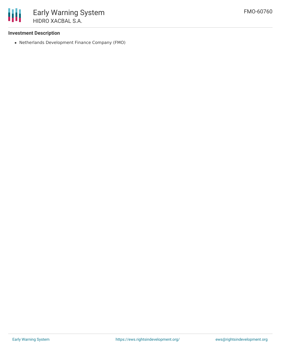

## **Investment Description**

Netherlands Development Finance Company (FMO)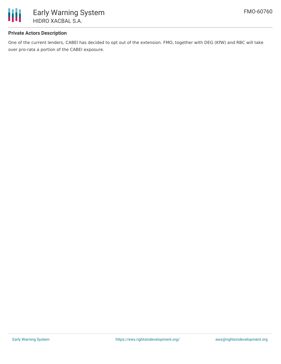

## **Private Actors Description**

One of the current lenders, CABEI has decided to opt out of the extension. FMO, together with DEG (KfW) and RBC will take over pro-rata a portion of the CABEI exposure.